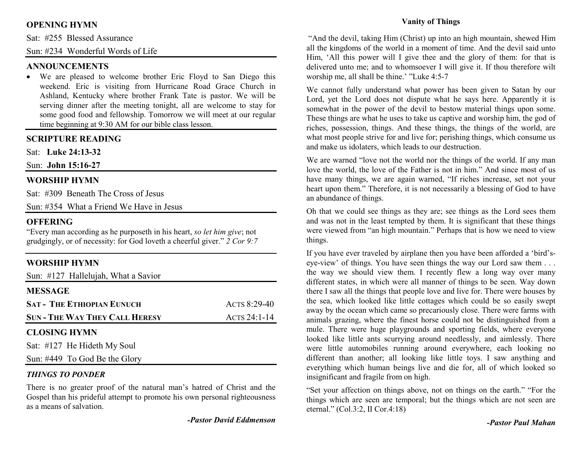# **OPENING HYMN**

Sat: #255 Blessed Assurance

Sun: #234 Wonderful Words of Life

## **ANNOUNCEMENTS**

 • We are pleased to welcome brother Eric Floyd to San Diego this weekend. Eric is visiting from Hurricane Road Grace Church in Ashland, Kentucky where brother Frank Tate is pastor. We will be serving dinner after the meeting tonight, all are welcome to stay for some good food and fellowship. Tomorrow we will meet at our regular time beginning at 9:30 AM for our bible class lesson.

## **SCRIPTURE READING**

Sat: **Luke 24:13-32**

Sun: **John 15:16-27**

## **WORSHIP HYMN**

Sat: #309 Beneath The Cross of Jesus

Sun: #354 What a Friend We Have in Jesus

#### **OFFERING**

 "Every man according as he purposeth in his heart, *so let him give*; not grudgingly, or of necessity: for God loveth a cheerful giver." *2 Cor 9:7*

# **WORSHIP HYMN**

Sun: #127 Hallelujah, What a Savior

| <b>MESSAGE</b>                        |              |
|---------------------------------------|--------------|
| <b>SAT - THE ETHIOPIAN EUNUCH</b>     | ACTS 8:29-40 |
| <b>SUN - THE WAY THEY CALL HERESY</b> | ACTS 24:1-14 |
| <b>CLOSING HYMN</b>                   |              |
| Sat: #127 He Hideth My Soul           |              |

Sun: #449 To God Be the Glory

#### *THINGS TO PONDER*

 There is no greater proof of the natural man's hatred of Christ and the Gospel than his prideful attempt to promote his own personal righteousness as a means of salvation.

*-Pastor David Eddmenson* 

## **Vanity of Things**

 "And the devil, taking Him (Christ) up into an high mountain, shewed Him all the kingdoms of the world in a moment of time. And the devil said unto Him, 'All this power will I give thee and the glory of them: for that is delivered unto me; and to whomsoever I will give it. If thou therefore wilt worship me, all shall be thine.' "Luke 4:5-7

We cannot fully understand what power has been given to Satan by our Lord, yet the Lord does not dispute what he says here. Apparently it is somewhat in the power of the devil to bestow material things upon some. These things are what he uses to take us captive and worship him, the god of riches, possession, things. And these things, the things of the world, are what most people strive for and live for; perishing things, which consume us and make us idolaters, which leads to our destruction.

We are warned "love not the world nor the things of the world. If any man love the world, the love of the Father is not in him." And since most of us have many things, we are again warned, "If riches increase, set not your heart upon them." Therefore, it is not necessarily a blessing of God to have an abundance of things.

Oh that we could see things as they are; see things as the Lord sees them and was not in the least tempted by them. It is significant that these things were viewed from "an high mountain." Perhaps that is how we need to view things.

If you have ever traveled by airplane then you have been afforded a 'bird'seye-view' of things. You have seen things the way our Lord saw them . . . the way we should view them. I recently flew a long way over many different states, in which were all manner of things to be seen. Way down there I saw all the things that people love and live for. There were houses by the sea, which looked like little cottages which could be so easily swept away by the ocean which came so precariously close. There were farms with animals grazing, where the finest horse could not be distinguished from a mule. There were huge playgrounds and sporting fields, where everyone looked like little ants scurrying around needlessly, and aimlessly. There were little automobiles running around everywhere, each looking no different than another; all looking like little toys. I saw anything and everything which human beings live and die for, all of which looked so insignificant and fragile from on high.

"Set your affection on things above, not on things on the earth." "For the things which are seen are temporal; but the things which are not seen are eternal." (Col.3:2, II Cor.4:18)